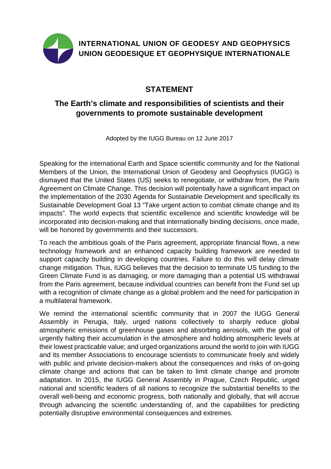

## **STATEMENT**

## **The Earth's climate and responsibilities of scientists and their governments to promote sustainable development**

Adopted by the IUGG Bureau on 12 June 2017

Speaking for the international Earth and Space scientific community and for the National Members of the Union, the International Union of Geodesy and Geophysics (IUGG) is dismayed that the United States (US) seeks to renegotiate, or withdraw from, the Paris Agreement on Climate Change. This decision will potentially have a significant impact on the implementation of the 2030 Agenda for Sustainable Development and specifically its Sustainable Development Goal 13 "Take urgent action to combat climate change and its impacts". The world expects that scientific excellence and scientific knowledge will be incorporated into decision-making and that internationally binding decisions, once made, will be honored by governments and their successors.

To reach the ambitious goals of the Paris agreement, appropriate financial flows, a new technology framework and an enhanced capacity building framework are needed to support capacity building in developing countries. Failure to do this will delay climate change mitigation. Thus, IUGG believes that the decision to terminate US funding to the Green Climate Fund is as damaging, or more damaging than a potential US withdrawal from the Paris agreement, because individual countries can benefit from the Fund set up with a recognition of climate change as a global problem and the need for participation in a multilateral framework.

We remind the international scientific community that in 2007 the IUGG General Assembly in Perugia, Italy, urged nations collectively to sharply reduce global atmospheric emissions of greenhouse gases and absorbing aerosols, with the goal of urgently halting their accumulation in the atmosphere and holding atmospheric levels at their lowest practicable value; and urged organizations around the world to join with IUGG and its member Associations to encourage scientists to communicate freely and widely with public and private decision-makers about the consequences and risks of on-going climate change and actions that can be taken to limit climate change and promote adaptation. In 2015, the IUGG General Assembly in Prague, Czech Republic, urged national and scientific leaders of all nations to recognize the substantial benefits to the overall well-being and economic progress, both nationally and globally, that will accrue through advancing the scientific understanding of, and the capabilities for predicting potentially disruptive environmental consequences and extremes.